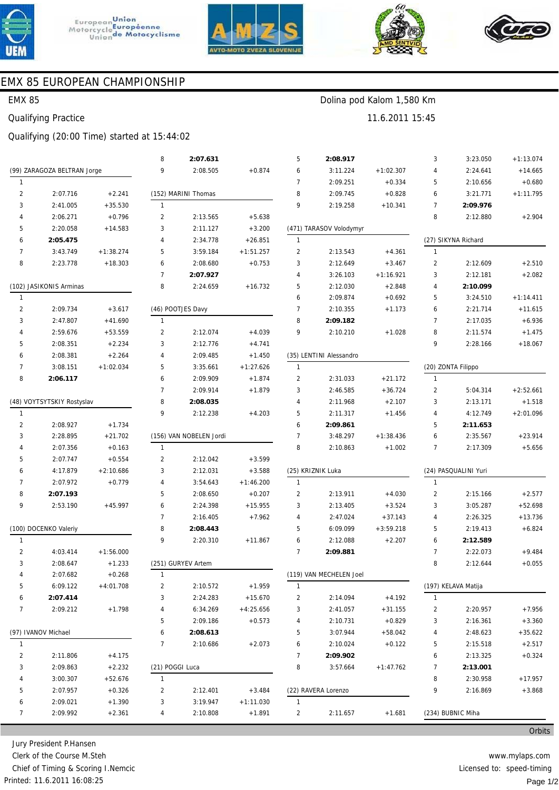





11.6.2011 15:45

Dolina pod Kalom 1,580 Km



## EMX 85 EUROPEAN CHAMPIONSHIP

#### **EMX 85**

**Qualifying Practice** 

### Qualifying (20:00 Time) started at 15:44:02

|                         |                             |             | 8               | 2:07.631                |             | 5                                      | 2:08.917                |                      | 3              | 3:23.050            | $+1:13.074$ |
|-------------------------|-----------------------------|-------------|-----------------|-------------------------|-------------|----------------------------------------|-------------------------|----------------------|----------------|---------------------|-------------|
|                         | (99) ZARAGOZA BELTRAN Jorge |             | 9               | 2:08.505                | $+0.874$    | 6                                      | 3:11.224                | $+1:02.307$          | 4              | 2:24.641            | $+14.665$   |
| $\mathbf{1}$            |                             |             |                 |                         |             | 7                                      | 2:09.251                | $+0.334$             | 5              | 2:10.656            | $+0.680$    |
| $\overline{2}$          | 2:07.716                    | $+2.241$    |                 | (152) MARINI Thomas     |             | 8                                      | 2:09.745                | $+0.828$             | 6              | 3:21.771            | $+1:11.795$ |
| 3                       | 2:41.005                    | $+35.530$   | $\mathbf{1}$    |                         |             | 9                                      | 2:19.258                | $+10.341$            | $\overline{7}$ | 2:09.976            |             |
| 4                       | 2:06.271                    | $+0.796$    | $\overline{2}$  | 2:13.565                | $+5.638$    |                                        |                         |                      | 8              | 2:12.880            | $+2.904$    |
| 5                       | 2:20.058                    | $+14.583$   | 3               | 2:11.127                | $+3.200$    |                                        | (471) TARASOV Volodymyr |                      |                |                     |             |
| 6                       | 2:05.475                    |             | $\overline{4}$  | 2:34.778                | $+26.851$   | $\mathbf{1}$                           |                         |                      |                | (27) SIKYNA Richard |             |
| $\overline{7}$          | 3:43.749                    | $+1:38.274$ | 5               | 3:59.184                | $+1:51.257$ | $\overline{2}$                         | 2:13.543                | $+4.361$             | $\mathbf{1}$   |                     |             |
| 8                       | 2:23.778                    | $+18.303$   | 6               | 2:08.680                | $+0.753$    | 3                                      | 2:12.649                | $+3.467$             | $\overline{2}$ | 2:12.609            | $+2.510$    |
|                         |                             |             | $\overline{7}$  | 2:07.927                |             | 4                                      | 3:26.103                | $+1:16.921$          | 3              | 2:12.181            | $+2.082$    |
| (102) JASIKONIS Arminas |                             | 8           | 2:24.659        | $+16.732$               | 5           | 2:12.030                               | $+2.848$                | $\overline{4}$       | 2:10.099       |                     |             |
| $\mathbf{1}$            |                             |             |                 |                         |             | 6                                      | 2:09.874                | $+0.692$             | 5              | 3:24.510            | $+1:14.411$ |
| 2                       | 2:09.734                    | $+3.617$    |                 | (46) POOTJES Davy       |             | $\overline{7}$                         | 2:10.355                | $+1.173$             | 6              | 2:21.714            | $+11.615$   |
| 3                       | 2:47.807                    | $+41.690$   | $\mathbf{1}$    |                         |             | 8                                      | 2:09.182                |                      | $\overline{7}$ | 2:17.035            | $+6.936$    |
| 4                       | 2:59.676                    | $+53.559$   | $\overline{2}$  | 2:12.074                | $+4.039$    | 9                                      | 2:10.210                | $+1.028$             | 8              | 2:11.574            | $+1.475$    |
| 5                       | 2:08.351                    | $+2.234$    | 3               | 2:12.776                | $+4.741$    |                                        |                         |                      | 9              | 2:28.166            | $+18.067$   |
| 6                       | 2:08.381                    | $+2.264$    | $\overline{4}$  | 2:09.485                | $+1.450$    | (35) LENTINI Alessandro                |                         |                      |                |                     |             |
| $\overline{7}$          | 3:08.151                    | $+1:02.034$ | 5               | 3:35.661                | $+1:27.626$ | $\mathbf{1}$                           |                         |                      |                | (20) ZONTA Filippo  |             |
| 8                       | 2:06.117                    |             | 6               | 2:09.909                | $+1.874$    | $\overline{2}$                         | 2:31.033                | $+21.172$            | $\mathbf{1}$   |                     |             |
|                         |                             |             | $\overline{7}$  | 2:09.914                | $+1.879$    | 3                                      | 2:46.585                | $+36.724$            | $\overline{2}$ | 5:04.314            | $+2:52.661$ |
|                         | (48) VOYTSYTSKIY Rostyslav  |             | 8               | 2:08.035                |             | 4                                      | 2:11.968                | $+2.107$             | 3              | 2:13.171            | $+1.518$    |
| $\mathbf{1}$            |                             |             | 9               | 2:12.238                | $+4.203$    | 5                                      | 2:11.317                | $+1.456$             | 4              | 4:12.749            | $+2:01.096$ |
| $\overline{2}$          | 2:08.927                    | $+1.734$    |                 |                         |             | 6                                      | 2:09.861                |                      | 5              | 2:11.653            |             |
| 3                       | 2:28.895                    | $+21.702$   |                 | (156) VAN NOBELEN Jordi |             | 7                                      | 3:48.297                | $+1:38.436$          | 6              | 2:35.567            | $+23.914$   |
| 4                       | 2:07.356                    | $+0.163$    | $\mathbf{1}$    |                         |             | 8                                      | 2:10.863                | $+1.002$             | $\overline{7}$ | 2:17.309            | $+5.656$    |
| 5                       | 2:07.747                    | $+0.554$    | $\overline{2}$  | 2:12.042                | $+3.599$    |                                        |                         |                      |                |                     |             |
| 6                       | 4:17.879                    | $+2:10.686$ | 3               | 2:12.031                | $+3.588$    | (25) KRIZNIK Luka                      |                         | (24) PASQUALINI Yuri |                |                     |             |
| $\overline{7}$          | 2:07.972                    | $+0.779$    | $\overline{4}$  | 3:54.643                | $+1:46.200$ | $\mathbf{1}$                           |                         |                      | $\mathbf{1}$   |                     |             |
| 8                       | 2:07.193                    |             | 5               | 2:08.650                | $+0.207$    | $\overline{2}$                         | 2:13.911                | $+4.030$             | $\overline{2}$ | 2:15.166            | $+2.577$    |
| 9                       | 2:53.190                    | $+45.997$   | 6               | 2:24.398                | $+15.955$   | 3                                      | 2:13.405                | $+3.524$             | 3              | 3:05.287            | $+52.698$   |
|                         |                             |             | $\overline{7}$  | 2:16.405                | $+7.962$    | 4                                      | 2:47.024                | $+37.143$            | 4              | 2:26.325            | $+13.736$   |
|                         | (100) DOCENKO Valeriy       |             | 8               | 2:08.443                |             | 5                                      | 6:09.099                | $+3:59.218$          | 5              | 2:19.413            | $+6.824$    |
| $\mathbf{1}$            |                             |             | 9               | 2:20.310                | $+11.867$   | 6                                      | 2:12.088                | $+2.207$             | 6              | 2:12.589            |             |
| $\overline{2}$          | 4:03.414                    | $+1:56.000$ |                 |                         |             | $\overline{7}$                         | 2:09.881                |                      | $\overline{7}$ | 2:22.073            | $+9.484$    |
| 3                       | 2:08.647                    | $+1.233$    |                 | (251) GURYEV Artem      |             |                                        |                         |                      | 8              | 2:12.644            | $+0.055$    |
|                         | 2:07.682                    | $+0.268$    | $\mathbf{1}$    |                         |             |                                        | (119) VAN MECHELEN Joel |                      |                |                     |             |
| 5                       | 6:09.122                    | $+4:01.708$ | 2               | 2:10.572                | $+1.959$    | $\mathbf{1}$                           |                         |                      |                | (197) KELAVA Matija |             |
| 6                       | 2:07.414                    |             | 3               | 2:24.283                | $+15.670$   | $\overline{2}$                         | 2:14.094                | $+4.192$             | $\mathbf{1}$   |                     |             |
| 7                       | 2:09.212                    | $+1.798$    | 4               | 6:34.269                | $+4:25.656$ | 3                                      | 2:41.057                | $+31.155$            | $\overline{2}$ | 2:20.957            | $+7.956$    |
|                         |                             |             | 5               | 2:09.186                | $+0.573$    | 4                                      | 2:10.731                | $+0.829$             | 3              | 2:16.361            | $+3.360$    |
| (97) IVANOV Michael     |                             | 6           | 2:08.613        |                         | 5           | 3:07.944                               | $+58.042$               | 4                    | 2:48.623       | $+35.622$           |             |
| $\mathbf{1}$            |                             |             | $\overline{7}$  | 2:10.686                | $+2.073$    | 6                                      | 2:10.024                | $+0.122$             | 5              | 2:15.518            | $+2.517$    |
| $\overline{c}$          | 2:11.806                    | $+4.175$    |                 |                         |             | $\overline{7}$                         | 2:09.902                |                      | 6              | 2:13.325            | $+0.324$    |
| 3                       | 2:09.863                    | $+2.232$    | (21) POGGI Luca |                         |             | 8                                      | 3:57.664                | $+1:47.762$          | 7              | 2:13.001            |             |
| 4                       | 3:00.307                    | $+52.676$   | $\mathbf{1}$    |                         |             |                                        |                         |                      | 8              | 2:30.958            | $+17.957$   |
| 5                       | 2:07.957                    | $+0.326$    | 2               | 2:12.401                | $+3.484$    |                                        | (22) RAVERA Lorenzo     |                      | 9              | 2:16.869            | $+3.868$    |
| 6                       | 2:09.021                    | $+1.390$    | 3               | 3:19.947                | $+1:11.030$ | $\mathbf{1}$                           |                         |                      |                |                     |             |
| 7                       | 2:09.992                    | $+2.361$    | 4               | 2:10.808                | $+1.891$    | $\overline{2}$<br>2:11.657<br>$+1.681$ |                         | (234) BUBNIC Miha    |                |                     |             |

Jury President P.Hansen Clerk of the Course M.Steh Chief of Timing & Scoring I.Nemcic Printed: 11.6.2011 16:08:25

www.mylaps.com Licensed to: speed-timing Page 1/2

Orbits